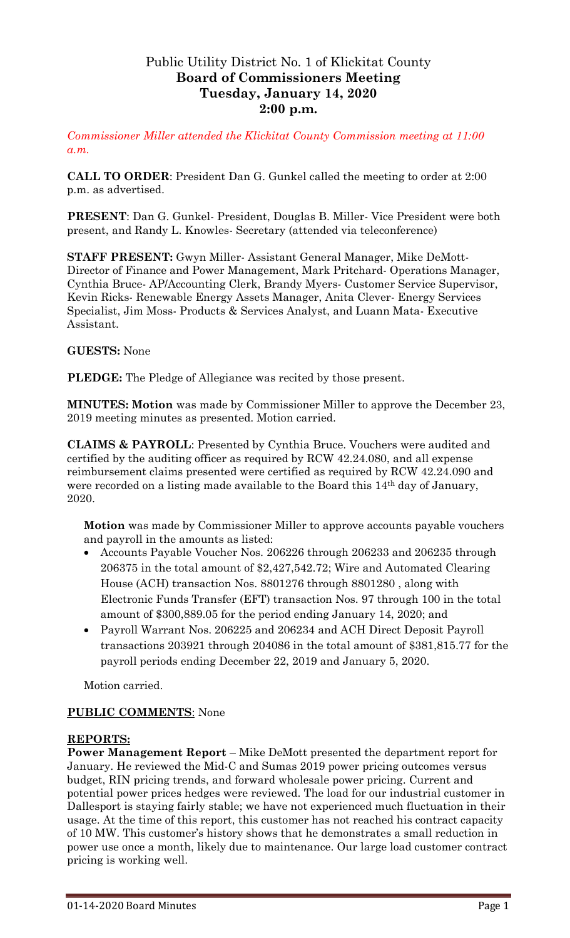# Public Utility District No. 1 of Klickitat County **Board of Commissioners Meeting Tuesday, January 14, 2020 2:00 p.m.**

*Commissioner Miller attended the Klickitat County Commission meeting at 11:00 a.m.*

**CALL TO ORDER**: President Dan G. Gunkel called the meeting to order at 2:00 p.m. as advertised.

**PRESENT**: Dan G. Gunkel- President, Douglas B. Miller- Vice President were both present, and Randy L. Knowles- Secretary (attended via teleconference)

**STAFF PRESENT:** Gwyn Miller- Assistant General Manager, Mike DeMott-Director of Finance and Power Management, Mark Pritchard- Operations Manager, Cynthia Bruce- AP/Accounting Clerk, Brandy Myers- Customer Service Supervisor, Kevin Ricks- Renewable Energy Assets Manager, Anita Clever- Energy Services Specialist, Jim Moss- Products & Services Analyst, and Luann Mata- Executive Assistant.

### **GUESTS:** None

**PLEDGE:** The Pledge of Allegiance was recited by those present.

**MINUTES: Motion** was made by Commissioner Miller to approve the December 23, 2019 meeting minutes as presented. Motion carried.

**CLAIMS & PAYROLL**: Presented by Cynthia Bruce. Vouchers were audited and certified by the auditing officer as required by RCW 42.24.080, and all expense reimbursement claims presented were certified as required by RCW 42.24.090 and were recorded on a listing made available to the Board this 14th day of January, 2020.

**Motion** was made by Commissioner Miller to approve accounts payable vouchers and payroll in the amounts as listed:

- Accounts Payable Voucher Nos. 206226 through 206233 and 206235 through 206375 in the total amount of \$2,427,542.72; Wire and Automated Clearing House (ACH) transaction Nos. 8801276 through 8801280 , along with Electronic Funds Transfer (EFT) transaction Nos. 97 through 100 in the total amount of \$300,889.05 for the period ending January 14, 2020; and
- Payroll Warrant Nos. 206225 and 206234 and ACH Direct Deposit Payroll transactions 203921 through 204086 in the total amount of \$381,815.77 for the payroll periods ending December 22, 2019 and January 5, 2020.

Motion carried.

## **PUBLIC COMMENTS**: None

#### **REPORTS:**

**Power Management Report** – Mike DeMott presented the department report for January. He reviewed the Mid-C and Sumas 2019 power pricing outcomes versus budget, RIN pricing trends, and forward wholesale power pricing. Current and potential power prices hedges were reviewed. The load for our industrial customer in Dallesport is staying fairly stable; we have not experienced much fluctuation in their usage. At the time of this report, this customer has not reached his contract capacity of 10 MW. This customer's history shows that he demonstrates a small reduction in power use once a month, likely due to maintenance. Our large load customer contract pricing is working well.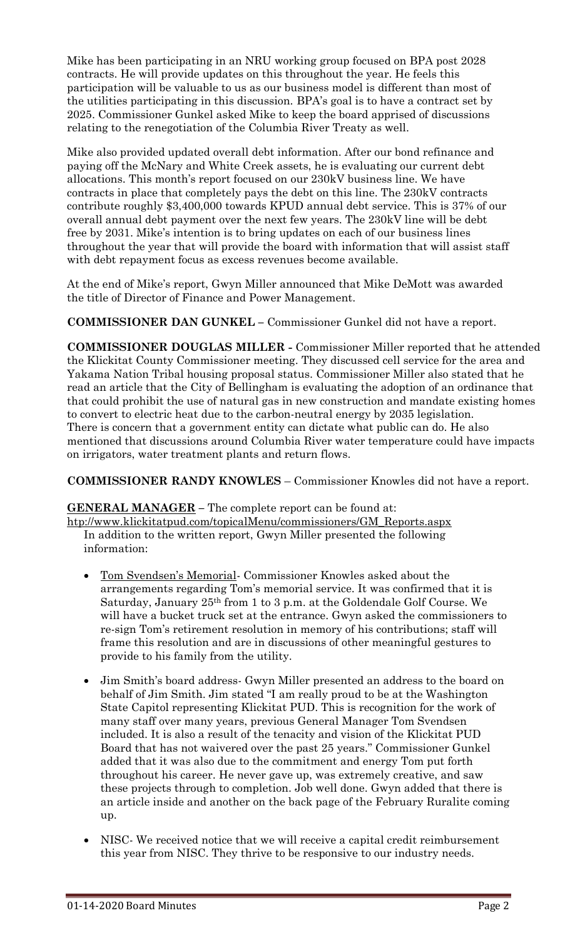Mike has been participating in an NRU working group focused on BPA post 2028 contracts. He will provide updates on this throughout the year. He feels this participation will be valuable to us as our business model is different than most of the utilities participating in this discussion. BPA's goal is to have a contract set by 2025. Commissioner Gunkel asked Mike to keep the board apprised of discussions relating to the renegotiation of the Columbia River Treaty as well.

Mike also provided updated overall debt information. After our bond refinance and paying off the McNary and White Creek assets, he is evaluating our current debt allocations. This month's report focused on our 230kV business line. We have contracts in place that completely pays the debt on this line. The 230kV contracts contribute roughly \$3,400,000 towards KPUD annual debt service. This is 37% of our overall annual debt payment over the next few years. The 230kV line will be debt free by 2031. Mike's intention is to bring updates on each of our business lines throughout the year that will provide the board with information that will assist staff with debt repayment focus as excess revenues become available.

At the end of Mike's report, Gwyn Miller announced that Mike DeMott was awarded the title of Director of Finance and Power Management.

**COMMISSIONER DAN GUNKEL –** Commissioner Gunkel did not have a report.

**COMMISSIONER DOUGLAS MILLER -** Commissioner Miller reported that he attended the Klickitat County Commissioner meeting. They discussed cell service for the area and Yakama Nation Tribal housing proposal status. Commissioner Miller also stated that he read an article that the City of Bellingham is evaluating the adoption of an ordinance that that could prohibit the use of natural gas in new construction and mandate existing homes to convert to electric heat due to the carbon-neutral energy by 2035 legislation. There is concern that a government entity can dictate what public can do. He also mentioned that discussions around Columbia River water temperature could have impacts on irrigators, water treatment plants and return flows.

**COMMISSIONER RANDY KNOWLES** – Commissioner Knowles did not have a report.

**GENERAL MANAGER –** The complete report can be found at:

[htp://www.klickitatpud.com/topicalMenu/commissioners/GM\\_Reports.aspx](http://www.klickitatpud.com/topicalMenu/commissioners/GM_Reports.aspx) In addition to the written report, Gwyn Miller presented the following information:

- Tom Svendsen's Memorial- Commissioner Knowles asked about the arrangements regarding Tom's memorial service. It was confirmed that it is Saturday, January 25th from 1 to 3 p.m. at the Goldendale Golf Course. We will have a bucket truck set at the entrance. Gwyn asked the commissioners to re-sign Tom's retirement resolution in memory of his contributions; staff will frame this resolution and are in discussions of other meaningful gestures to provide to his family from the utility.
- Jim Smith's board address- Gwyn Miller presented an address to the board on behalf of Jim Smith. Jim stated "I am really proud to be at the Washington State Capitol representing Klickitat PUD. This is recognition for the work of many staff over many years, previous General Manager Tom Svendsen included. It is also a result of the tenacity and vision of the Klickitat PUD Board that has not waivered over the past 25 years." Commissioner Gunkel added that it was also due to the commitment and energy Tom put forth throughout his career. He never gave up, was extremely creative, and saw these projects through to completion. Job well done. Gwyn added that there is an article inside and another on the back page of the February Ruralite coming up.
- NISC- We received notice that we will receive a capital credit reimbursement this year from NISC. They thrive to be responsive to our industry needs.